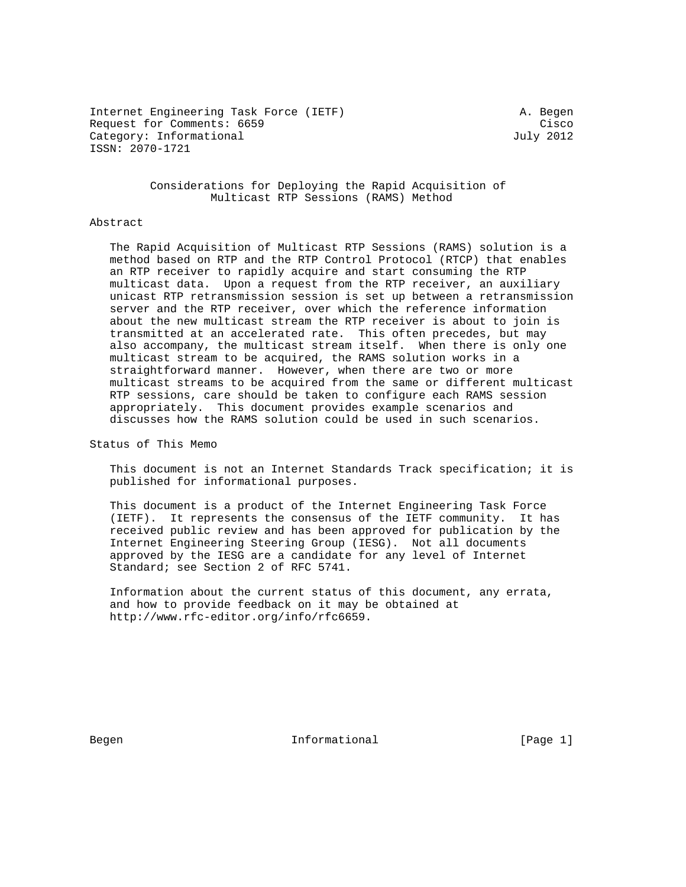Internet Engineering Task Force (IETF) A. Begen Request for Comments: 6659 Cisco Category: Informational distribution of the United Stategory: July 2012 ISSN: 2070-1721

 Considerations for Deploying the Rapid Acquisition of Multicast RTP Sessions (RAMS) Method

#### Abstract

 The Rapid Acquisition of Multicast RTP Sessions (RAMS) solution is a method based on RTP and the RTP Control Protocol (RTCP) that enables an RTP receiver to rapidly acquire and start consuming the RTP multicast data. Upon a request from the RTP receiver, an auxiliary unicast RTP retransmission session is set up between a retransmission server and the RTP receiver, over which the reference information about the new multicast stream the RTP receiver is about to join is transmitted at an accelerated rate. This often precedes, but may also accompany, the multicast stream itself. When there is only one multicast stream to be acquired, the RAMS solution works in a straightforward manner. However, when there are two or more multicast streams to be acquired from the same or different multicast RTP sessions, care should be taken to configure each RAMS session appropriately. This document provides example scenarios and discusses how the RAMS solution could be used in such scenarios.

Status of This Memo

 This document is not an Internet Standards Track specification; it is published for informational purposes.

 This document is a product of the Internet Engineering Task Force (IETF). It represents the consensus of the IETF community. It has received public review and has been approved for publication by the Internet Engineering Steering Group (IESG). Not all documents approved by the IESG are a candidate for any level of Internet Standard; see Section 2 of RFC 5741.

 Information about the current status of this document, any errata, and how to provide feedback on it may be obtained at http://www.rfc-editor.org/info/rfc6659.

Begen and Informational Theorem Informational (Page 1)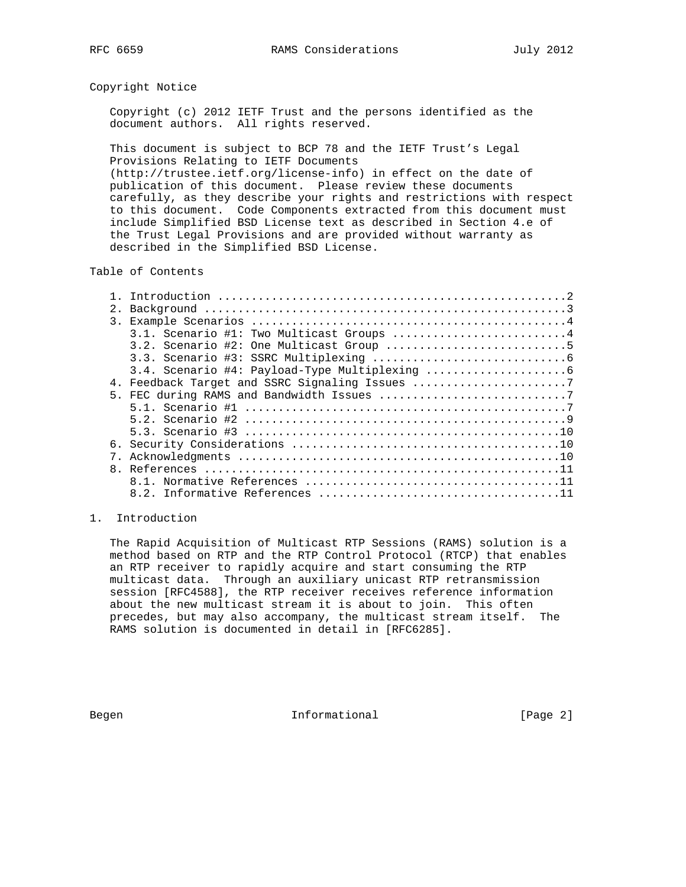#### Copyright Notice

 Copyright (c) 2012 IETF Trust and the persons identified as the document authors. All rights reserved.

 This document is subject to BCP 78 and the IETF Trust's Legal Provisions Relating to IETF Documents (http://trustee.ietf.org/license-info) in effect on the date of publication of this document. Please review these documents carefully, as they describe your rights and restrictions with respect to this document. Code Components extracted from this document must include Simplified BSD License text as described in Section 4.e of the Trust Legal Provisions and are provided without warranty as described in the Simplified BSD License.

### Table of Contents

| $\mathcal{E}$ |                                                |
|---------------|------------------------------------------------|
|               | 3.1. Scenario #1: Two Multicast Groups 4       |
|               | $3.2.$ Scenario #2: One Multicast Group 5      |
|               |                                                |
|               |                                                |
|               | 4. Feedback Target and SSRC Signaling Issues 7 |
|               |                                                |
|               |                                                |
|               |                                                |
|               |                                                |
| б.            |                                                |
|               |                                                |
|               |                                                |
|               |                                                |
|               |                                                |

#### 1. Introduction

 The Rapid Acquisition of Multicast RTP Sessions (RAMS) solution is a method based on RTP and the RTP Control Protocol (RTCP) that enables an RTP receiver to rapidly acquire and start consuming the RTP multicast data. Through an auxiliary unicast RTP retransmission session [RFC4588], the RTP receiver receives reference information about the new multicast stream it is about to join. This often precedes, but may also accompany, the multicast stream itself. The RAMS solution is documented in detail in [RFC6285].

Begen and Informational and Informational (Page 2)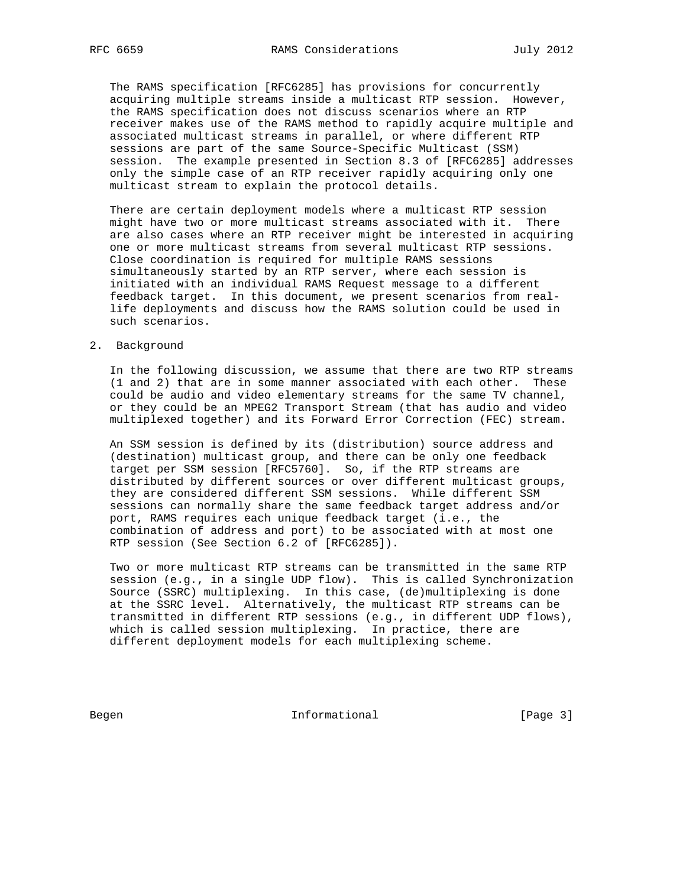The RAMS specification [RFC6285] has provisions for concurrently acquiring multiple streams inside a multicast RTP session. However, the RAMS specification does not discuss scenarios where an RTP receiver makes use of the RAMS method to rapidly acquire multiple and associated multicast streams in parallel, or where different RTP sessions are part of the same Source-Specific Multicast (SSM) session. The example presented in Section 8.3 of [RFC6285] addresses only the simple case of an RTP receiver rapidly acquiring only one multicast stream to explain the protocol details.

 There are certain deployment models where a multicast RTP session might have two or more multicast streams associated with it. There are also cases where an RTP receiver might be interested in acquiring one or more multicast streams from several multicast RTP sessions. Close coordination is required for multiple RAMS sessions simultaneously started by an RTP server, where each session is initiated with an individual RAMS Request message to a different feedback target. In this document, we present scenarios from real life deployments and discuss how the RAMS solution could be used in such scenarios.

#### 2. Background

 In the following discussion, we assume that there are two RTP streams (1 and 2) that are in some manner associated with each other. These could be audio and video elementary streams for the same TV channel, or they could be an MPEG2 Transport Stream (that has audio and video multiplexed together) and its Forward Error Correction (FEC) stream.

 An SSM session is defined by its (distribution) source address and (destination) multicast group, and there can be only one feedback target per SSM session [RFC5760]. So, if the RTP streams are distributed by different sources or over different multicast groups, they are considered different SSM sessions. While different SSM sessions can normally share the same feedback target address and/or port, RAMS requires each unique feedback target (i.e., the combination of address and port) to be associated with at most one RTP session (See Section 6.2 of [RFC6285]).

 Two or more multicast RTP streams can be transmitted in the same RTP session (e.g., in a single UDP flow). This is called Synchronization Source (SSRC) multiplexing. In this case, (de)multiplexing is done at the SSRC level. Alternatively, the multicast RTP streams can be transmitted in different RTP sessions (e.g., in different UDP flows), which is called session multiplexing. In practice, there are different deployment models for each multiplexing scheme.

Begen and Informational and Informational (Page 3)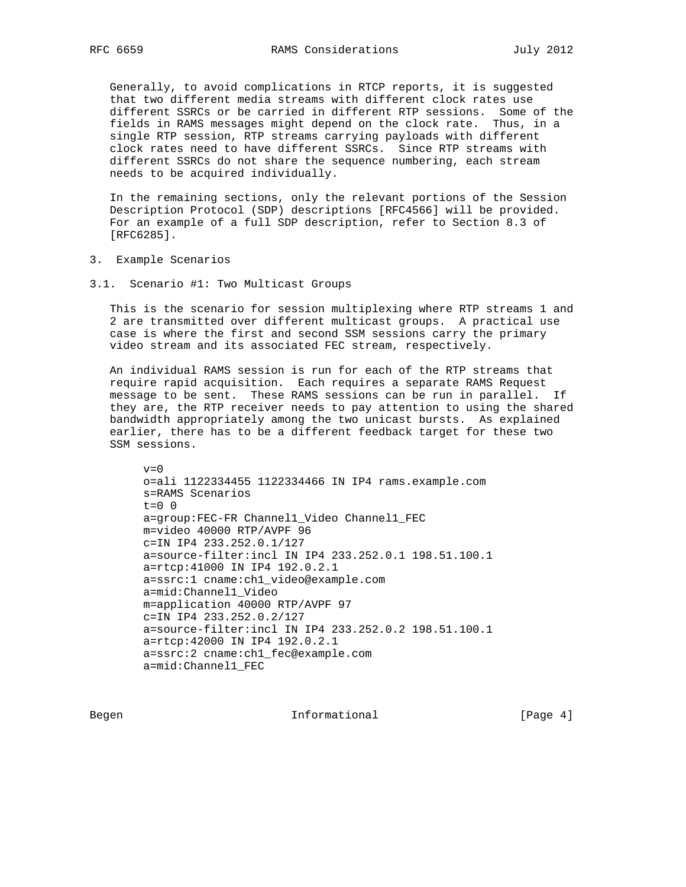Generally, to avoid complications in RTCP reports, it is suggested that two different media streams with different clock rates use different SSRCs or be carried in different RTP sessions. Some of the fields in RAMS messages might depend on the clock rate. Thus, in a single RTP session, RTP streams carrying payloads with different clock rates need to have different SSRCs. Since RTP streams with different SSRCs do not share the sequence numbering, each stream needs to be acquired individually.

 In the remaining sections, only the relevant portions of the Session Description Protocol (SDP) descriptions [RFC4566] will be provided. For an example of a full SDP description, refer to Section 8.3 of [RFC6285].

- 3. Example Scenarios
- 3.1. Scenario #1: Two Multicast Groups

 This is the scenario for session multiplexing where RTP streams 1 and 2 are transmitted over different multicast groups. A practical use case is where the first and second SSM sessions carry the primary video stream and its associated FEC stream, respectively.

 An individual RAMS session is run for each of the RTP streams that require rapid acquisition. Each requires a separate RAMS Request message to be sent. These RAMS sessions can be run in parallel. If they are, the RTP receiver needs to pay attention to using the shared bandwidth appropriately among the two unicast bursts. As explained earlier, there has to be a different feedback target for these two SSM sessions.

 $v=0$  o=ali 1122334455 1122334466 IN IP4 rams.example.com s=RAMS Scenarios  $t=0$  0 a=group:FEC-FR Channel1\_Video Channel1\_FEC m=video 40000 RTP/AVPF 96 c=IN IP4 233.252.0.1/127 a=source-filter:incl IN IP4 233.252.0.1 198.51.100.1 a=rtcp:41000 IN IP4 192.0.2.1 a=ssrc:1 cname:ch1\_video@example.com a=mid:Channel1\_Video m=application 40000 RTP/AVPF 97 c=IN IP4 233.252.0.2/127 a=source-filter:incl IN IP4 233.252.0.2 198.51.100.1 a=rtcp:42000 IN IP4 192.0.2.1 a=ssrc:2 cname:ch1\_fec@example.com a=mid:Channel1\_FEC

Begen and Informational and Informational (Page 4)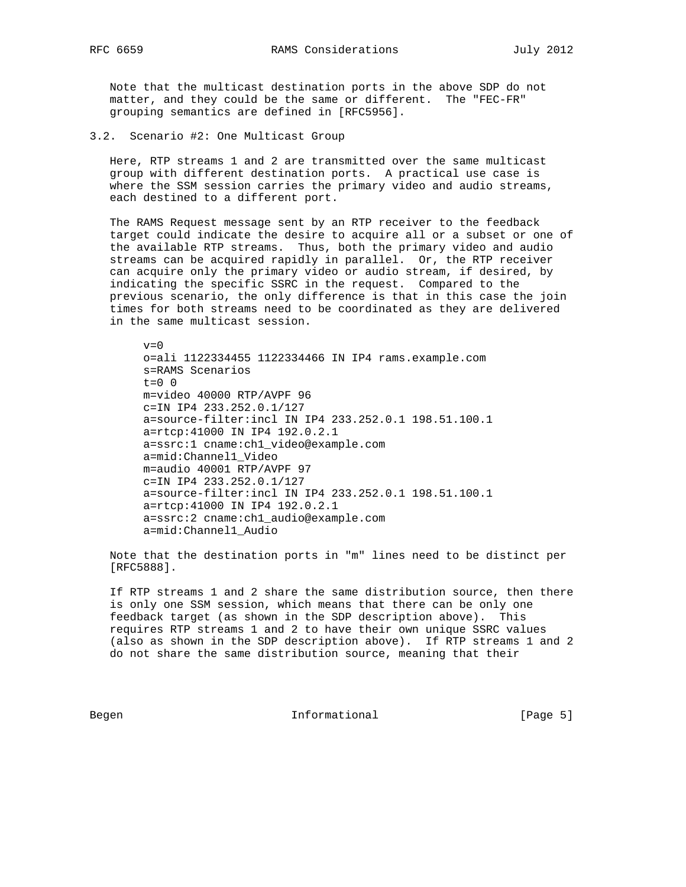Note that the multicast destination ports in the above SDP do not matter, and they could be the same or different. The "FEC-FR" grouping semantics are defined in [RFC5956].

3.2. Scenario #2: One Multicast Group

 Here, RTP streams 1 and 2 are transmitted over the same multicast group with different destination ports. A practical use case is where the SSM session carries the primary video and audio streams, each destined to a different port.

 The RAMS Request message sent by an RTP receiver to the feedback target could indicate the desire to acquire all or a subset or one of the available RTP streams. Thus, both the primary video and audio streams can be acquired rapidly in parallel. Or, the RTP receiver can acquire only the primary video or audio stream, if desired, by indicating the specific SSRC in the request. Compared to the previous scenario, the only difference is that in this case the join times for both streams need to be coordinated as they are delivered in the same multicast session.

 $v=0$  o=ali 1122334455 1122334466 IN IP4 rams.example.com s=RAMS Scenarios  $t=0$  0 m=video 40000 RTP/AVPF 96 c=IN IP4 233.252.0.1/127 a=source-filter:incl IN IP4 233.252.0.1 198.51.100.1 a=rtcp:41000 IN IP4 192.0.2.1 a=ssrc:1 cname:ch1\_video@example.com a=mid:Channel1\_Video m=audio 40001 RTP/AVPF 97 c=IN IP4 233.252.0.1/127 a=source-filter:incl IN IP4 233.252.0.1 198.51.100.1 a=rtcp:41000 IN IP4 192.0.2.1 a=ssrc:2 cname:ch1\_audio@example.com a=mid:Channel1\_Audio

 Note that the destination ports in "m" lines need to be distinct per [RFC5888].

 If RTP streams 1 and 2 share the same distribution source, then there is only one SSM session, which means that there can be only one feedback target (as shown in the SDP description above). This requires RTP streams 1 and 2 to have their own unique SSRC values (also as shown in the SDP description above). If RTP streams 1 and 2 do not share the same distribution source, meaning that their

Begen **Informational Informational** [Page 5]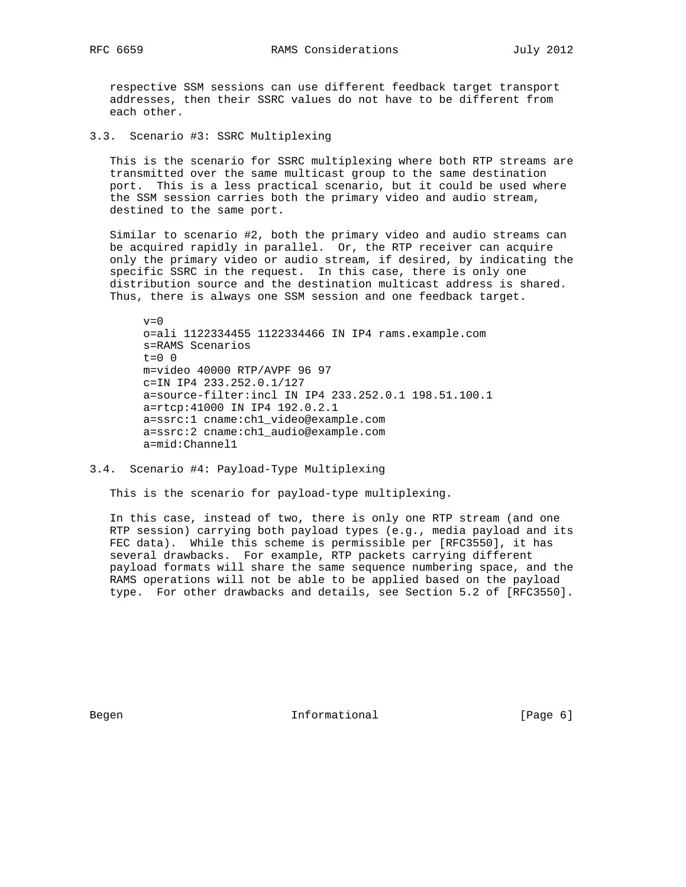respective SSM sessions can use different feedback target transport addresses, then their SSRC values do not have to be different from each other.

3.3. Scenario #3: SSRC Multiplexing

 This is the scenario for SSRC multiplexing where both RTP streams are transmitted over the same multicast group to the same destination port. This is a less practical scenario, but it could be used where the SSM session carries both the primary video and audio stream, destined to the same port.

 Similar to scenario #2, both the primary video and audio streams can be acquired rapidly in parallel. Or, the RTP receiver can acquire only the primary video or audio stream, if desired, by indicating the specific SSRC in the request. In this case, there is only one distribution source and the destination multicast address is shared. Thus, there is always one SSM session and one feedback target.

 $v=0$  o=ali 1122334455 1122334466 IN IP4 rams.example.com s=RAMS Scenarios  $t=0$  0 m=video 40000 RTP/AVPF 96 97 c=IN IP4 233.252.0.1/127 a=source-filter:incl IN IP4 233.252.0.1 198.51.100.1 a=rtcp:41000 IN IP4 192.0.2.1 a=ssrc:1 cname:ch1\_video@example.com a=ssrc:2 cname:ch1\_audio@example.com a=mid:Channel1

3.4. Scenario #4: Payload-Type Multiplexing

This is the scenario for payload-type multiplexing.

 In this case, instead of two, there is only one RTP stream (and one RTP session) carrying both payload types (e.g., media payload and its FEC data). While this scheme is permissible per [RFC3550], it has several drawbacks. For example, RTP packets carrying different payload formats will share the same sequence numbering space, and the RAMS operations will not be able to be applied based on the payload type. For other drawbacks and details, see Section 5.2 of [RFC3550].

Begen and Informational and Informational (Page 6)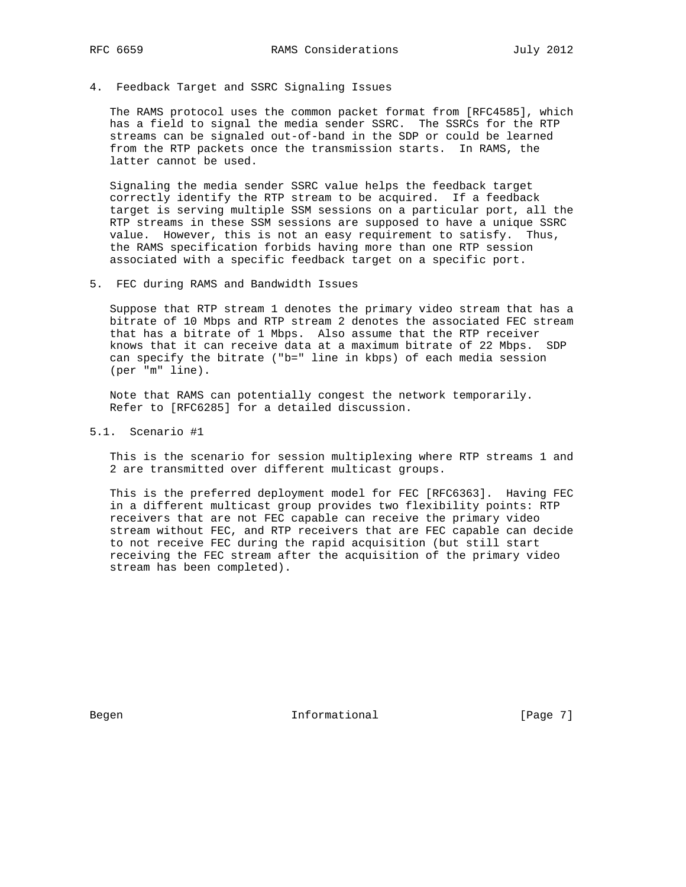#### 4. Feedback Target and SSRC Signaling Issues

 The RAMS protocol uses the common packet format from [RFC4585], which has a field to signal the media sender SSRC. The SSRCs for the RTP streams can be signaled out-of-band in the SDP or could be learned from the RTP packets once the transmission starts. In RAMS, the latter cannot be used.

 Signaling the media sender SSRC value helps the feedback target correctly identify the RTP stream to be acquired. If a feedback target is serving multiple SSM sessions on a particular port, all the RTP streams in these SSM sessions are supposed to have a unique SSRC value. However, this is not an easy requirement to satisfy. Thus, the RAMS specification forbids having more than one RTP session associated with a specific feedback target on a specific port.

5. FEC during RAMS and Bandwidth Issues

 Suppose that RTP stream 1 denotes the primary video stream that has a bitrate of 10 Mbps and RTP stream 2 denotes the associated FEC stream that has a bitrate of 1 Mbps. Also assume that the RTP receiver knows that it can receive data at a maximum bitrate of 22 Mbps. SDP can specify the bitrate ("b=" line in kbps) of each media session (per "m" line).

 Note that RAMS can potentially congest the network temporarily. Refer to [RFC6285] for a detailed discussion.

5.1. Scenario #1

 This is the scenario for session multiplexing where RTP streams 1 and 2 are transmitted over different multicast groups.

 This is the preferred deployment model for FEC [RFC6363]. Having FEC in a different multicast group provides two flexibility points: RTP receivers that are not FEC capable can receive the primary video stream without FEC, and RTP receivers that are FEC capable can decide to not receive FEC during the rapid acquisition (but still start receiving the FEC stream after the acquisition of the primary video stream has been completed).

Begen and Informational Theorem Informational (Page 7)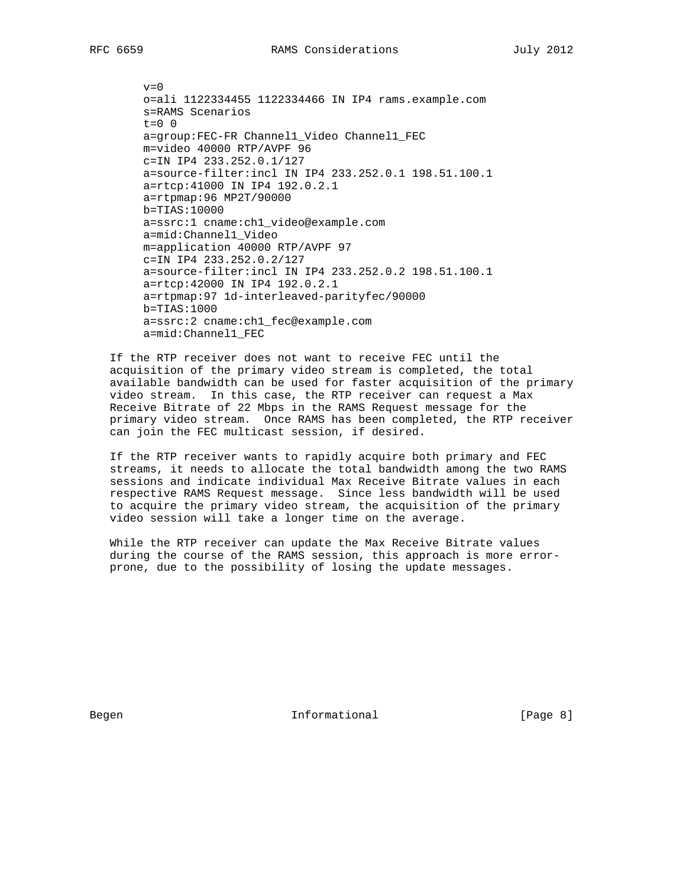$v=0$  o=ali 1122334455 1122334466 IN IP4 rams.example.com s=RAMS Scenarios  $t=0$  0 a=group:FEC-FR Channel1\_Video Channel1\_FEC m=video 40000 RTP/AVPF 96 c=IN IP4 233.252.0.1/127 a=source-filter:incl IN IP4 233.252.0.1 198.51.100.1 a=rtcp:41000 IN IP4 192.0.2.1 a=rtpmap:96 MP2T/90000 b=TIAS:10000 a=ssrc:1 cname:ch1\_video@example.com a=mid:Channel1\_Video m=application 40000 RTP/AVPF 97 c=IN IP4 233.252.0.2/127 a=source-filter:incl IN IP4 233.252.0.2 198.51.100.1 a=rtcp:42000 IN IP4 192.0.2.1 a=rtpmap:97 1d-interleaved-parityfec/90000 b=TIAS:1000 a=ssrc:2 cname:ch1\_fec@example.com a=mid:Channel1\_FEC

 If the RTP receiver does not want to receive FEC until the acquisition of the primary video stream is completed, the total available bandwidth can be used for faster acquisition of the primary video stream. In this case, the RTP receiver can request a Max Receive Bitrate of 22 Mbps in the RAMS Request message for the primary video stream. Once RAMS has been completed, the RTP receiver can join the FEC multicast session, if desired.

 If the RTP receiver wants to rapidly acquire both primary and FEC streams, it needs to allocate the total bandwidth among the two RAMS sessions and indicate individual Max Receive Bitrate values in each respective RAMS Request message. Since less bandwidth will be used to acquire the primary video stream, the acquisition of the primary video session will take a longer time on the average.

 While the RTP receiver can update the Max Receive Bitrate values during the course of the RAMS session, this approach is more error prone, due to the possibility of losing the update messages.

Begen and Informational and Informational (Page 8)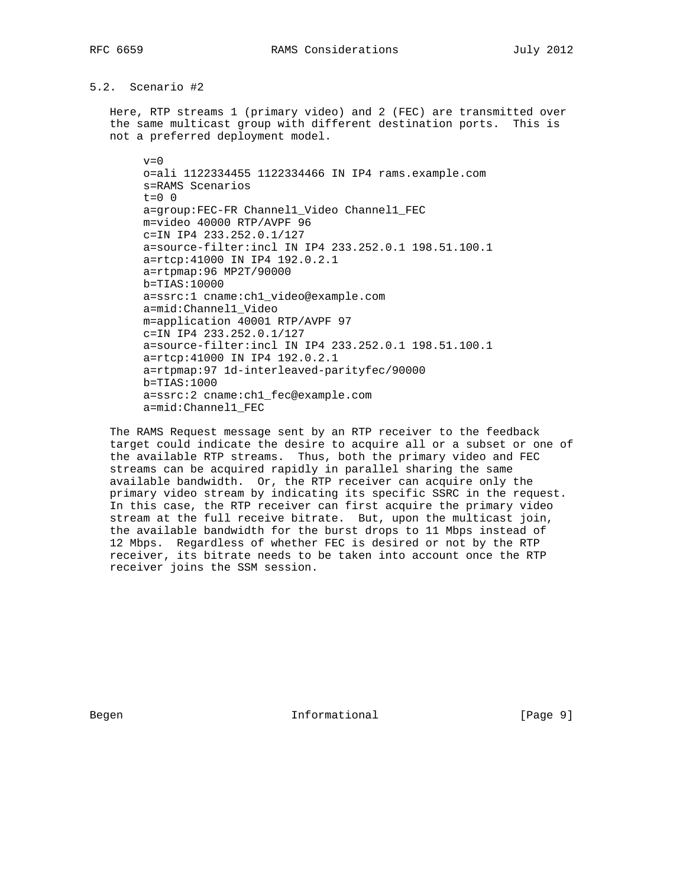## 5.2. Scenario #2

 Here, RTP streams 1 (primary video) and 2 (FEC) are transmitted over the same multicast group with different destination ports. This is not a preferred deployment model.

 $v=0$  o=ali 1122334455 1122334466 IN IP4 rams.example.com s=RAMS Scenarios  $t=0$  0 a=group:FEC-FR Channel1\_Video Channel1\_FEC m=video 40000 RTP/AVPF 96 c=IN IP4 233.252.0.1/127 a=source-filter:incl IN IP4 233.252.0.1 198.51.100.1 a=rtcp:41000 IN IP4 192.0.2.1 a=rtpmap:96 MP2T/90000 b=TIAS:10000 a=ssrc:1 cname:ch1\_video@example.com a=mid:Channel1\_Video m=application 40001 RTP/AVPF 97 c=IN IP4 233.252.0.1/127 a=source-filter:incl IN IP4 233.252.0.1 198.51.100.1 a=rtcp:41000 IN IP4 192.0.2.1 a=rtpmap:97 1d-interleaved-parityfec/90000 b=TIAS:1000 a=ssrc:2 cname:ch1\_fec@example.com a=mid:Channel1\_FEC

 The RAMS Request message sent by an RTP receiver to the feedback target could indicate the desire to acquire all or a subset or one of the available RTP streams. Thus, both the primary video and FEC streams can be acquired rapidly in parallel sharing the same available bandwidth. Or, the RTP receiver can acquire only the primary video stream by indicating its specific SSRC in the request. In this case, the RTP receiver can first acquire the primary video stream at the full receive bitrate. But, upon the multicast join, the available bandwidth for the burst drops to 11 Mbps instead of 12 Mbps. Regardless of whether FEC is desired or not by the RTP receiver, its bitrate needs to be taken into account once the RTP receiver joins the SSM session.

Begen and Informational Theorem Informational (Page 9)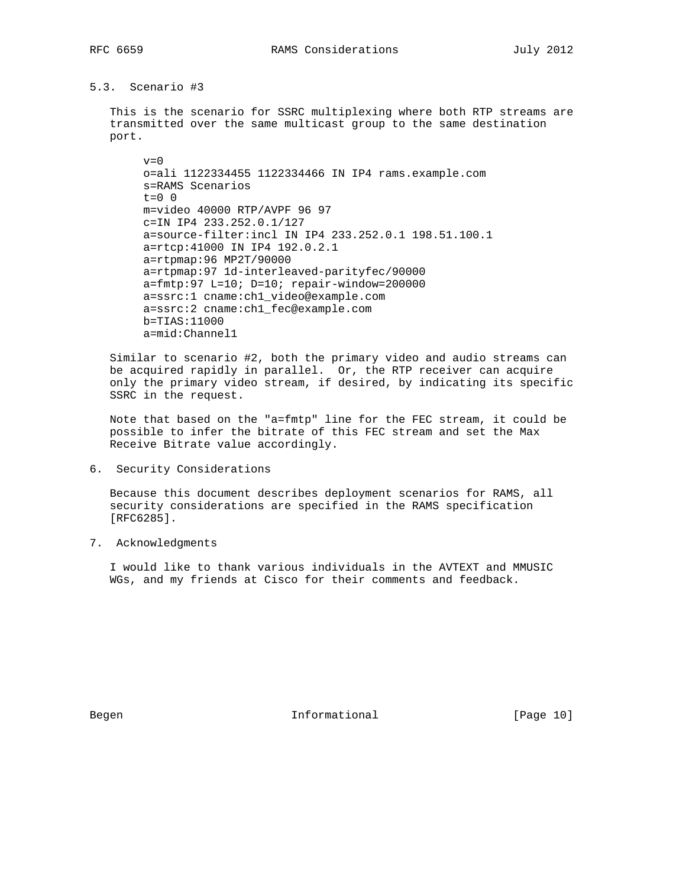# 5.3. Scenario #3

 This is the scenario for SSRC multiplexing where both RTP streams are transmitted over the same multicast group to the same destination port.

 $v=0$  o=ali 1122334455 1122334466 IN IP4 rams.example.com s=RAMS Scenarios  $t=0$  0 m=video 40000 RTP/AVPF 96 97 c=IN IP4 233.252.0.1/127 a=source-filter:incl IN IP4 233.252.0.1 198.51.100.1 a=rtcp:41000 IN IP4 192.0.2.1 a=rtpmap:96 MP2T/90000 a=rtpmap:97 1d-interleaved-parityfec/90000 a=fmtp:97 L=10; D=10; repair-window=200000 a=ssrc:1 cname:ch1\_video@example.com a=ssrc:2 cname:ch1\_fec@example.com b=TIAS:11000 a=mid:Channel1

 Similar to scenario #2, both the primary video and audio streams can be acquired rapidly in parallel. Or, the RTP receiver can acquire only the primary video stream, if desired, by indicating its specific SSRC in the request.

 Note that based on the "a=fmtp" line for the FEC stream, it could be possible to infer the bitrate of this FEC stream and set the Max Receive Bitrate value accordingly.

6. Security Considerations

 Because this document describes deployment scenarios for RAMS, all security considerations are specified in the RAMS specification [RFC6285].

7. Acknowledgments

 I would like to thank various individuals in the AVTEXT and MMUSIC WGs, and my friends at Cisco for their comments and feedback.

Begen 10 Informational 1 Page 10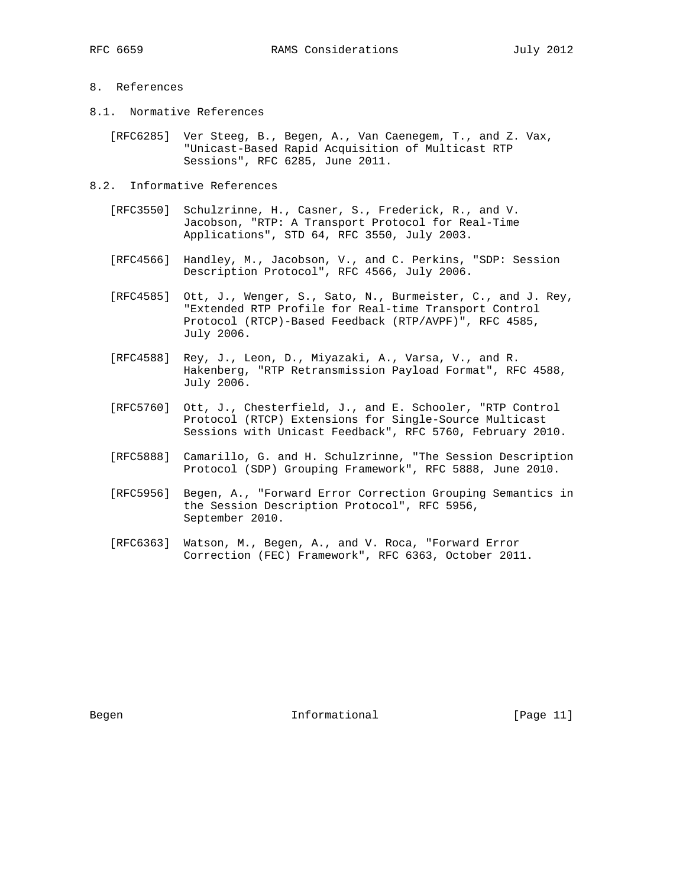## 8. References

8.1. Normative References

 [RFC6285] Ver Steeg, B., Begen, A., Van Caenegem, T., and Z. Vax, "Unicast-Based Rapid Acquisition of Multicast RTP Sessions", RFC 6285, June 2011.

- 8.2. Informative References
	- [RFC3550] Schulzrinne, H., Casner, S., Frederick, R., and V. Jacobson, "RTP: A Transport Protocol for Real-Time Applications", STD 64, RFC 3550, July 2003.
	- [RFC4566] Handley, M., Jacobson, V., and C. Perkins, "SDP: Session Description Protocol", RFC 4566, July 2006.
	- [RFC4585] Ott, J., Wenger, S., Sato, N., Burmeister, C., and J. Rey, "Extended RTP Profile for Real-time Transport Control Protocol (RTCP)-Based Feedback (RTP/AVPF)", RFC 4585, July 2006.
	- [RFC4588] Rey, J., Leon, D., Miyazaki, A., Varsa, V., and R. Hakenberg, "RTP Retransmission Payload Format", RFC 4588, July 2006.
	- [RFC5760] Ott, J., Chesterfield, J., and E. Schooler, "RTP Control Protocol (RTCP) Extensions for Single-Source Multicast Sessions with Unicast Feedback", RFC 5760, February 2010.
	- [RFC5888] Camarillo, G. and H. Schulzrinne, "The Session Description Protocol (SDP) Grouping Framework", RFC 5888, June 2010.
	- [RFC5956] Begen, A., "Forward Error Correction Grouping Semantics in the Session Description Protocol", RFC 5956, September 2010.
	- [RFC6363] Watson, M., Begen, A., and V. Roca, "Forward Error Correction (FEC) Framework", RFC 6363, October 2011.

Begen 11 Informational [Page 11]